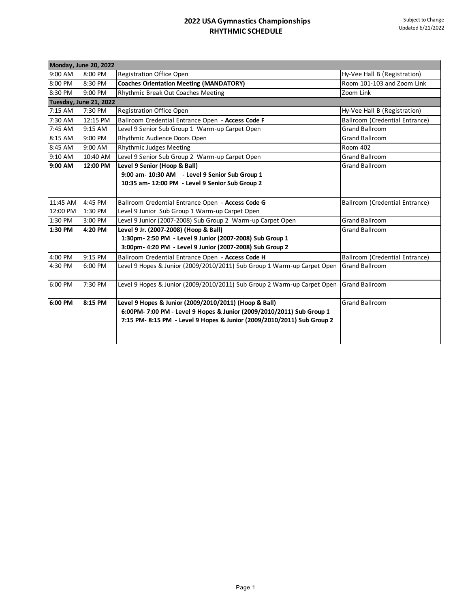| <b>Monday, June 20, 2022</b> |                        |                                                                         |                                       |  |
|------------------------------|------------------------|-------------------------------------------------------------------------|---------------------------------------|--|
| 9:00 AM                      | 8:00 PM                | Registration Office Open                                                | Hy-Vee Hall B (Registration)          |  |
| 8:00 PM                      | 8:30 PM                | <b>Coaches Orientation Meeting (MANDATORY)</b>                          | Room 101-103 and Zoom Link            |  |
| 8:30 PM                      | 9:00 PM                | Rhythmic Break Out Coaches Meeting                                      | Zoom Link                             |  |
|                              | Tuesday, June 21, 2022 |                                                                         |                                       |  |
| 7:15 AM                      | 7:30 PM                | <b>Registration Office Open</b>                                         | Hy-Vee Hall B (Registration)          |  |
| 7:30 AM                      | 12:15 PM               | Ballroom Credential Entrance Open - Access Code F                       | <b>Ballroom (Credential Entrance)</b> |  |
| 7:45 AM                      | 9:15 AM                | Level 9 Senior Sub Group 1 Warm-up Carpet Open                          | <b>Grand Ballroom</b>                 |  |
| 8:15 AM                      | 9:00 PM                | Rhythmic Audience Doors Open                                            | <b>Grand Ballroom</b>                 |  |
| 8:45 AM                      | 9:00 AM                | <b>Rhythmic Judges Meeting</b>                                          | Room 402                              |  |
| 9:10 AM                      | 10:40 AM               | Level 9 Senior Sub Group 2 Warm-up Carpet Open                          | <b>Grand Ballroom</b>                 |  |
| 9:00 AM                      | 12:00 PM               | Level 9 Senior (Hoop & Ball)                                            | <b>Grand Ballroom</b>                 |  |
|                              |                        | 9:00 am- 10:30 AM - Level 9 Senior Sub Group 1                          |                                       |  |
|                              |                        | 10:35 am- 12:00 PM - Level 9 Senior Sub Group 2                         |                                       |  |
|                              |                        |                                                                         |                                       |  |
| 11:45 AM                     | 4:45 PM                | Ballroom Credential Entrance Open - Access Code G                       | Ballroom (Credential Entrance)        |  |
| 12:00 PM                     | 1:30 PM                | Level 9 Junior Sub Group 1 Warm-up Carpet Open                          |                                       |  |
| 1:30 PM                      | 3:00 PM                | Level 9 Junior (2007-2008) Sub Group 2 Warm-up Carpet Open              | <b>Grand Ballroom</b>                 |  |
| 1:30 PM                      | 4:20 PM                | Level 9 Jr. (2007-2008) (Hoop & Ball)                                   | <b>Grand Ballroom</b>                 |  |
|                              |                        | 1:30pm- 2:50 PM - Level 9 Junior (2007-2008) Sub Group 1                |                                       |  |
|                              |                        | 3:00pm- 4:20 PM - Level 9 Junior (2007-2008) Sub Group 2                |                                       |  |
| 4:00 PM                      | 9:15 PM                | Ballroom Credential Entrance Open - Access Code H                       | Ballroom (Credential Entrance)        |  |
| 4:30 PM                      | 6:00 PM                | Level 9 Hopes & Junior (2009/2010/2011) Sub Group 1 Warm-up Carpet Open | <b>Grand Ballroom</b>                 |  |
|                              |                        |                                                                         |                                       |  |
| 6:00 PM                      | 7:30 PM                | Level 9 Hopes & Junior (2009/2010/2011) Sub Group 2 Warm-up Carpet Open | <b>Grand Ballroom</b>                 |  |
|                              |                        |                                                                         |                                       |  |
| 6:00 PM                      | 8:15 PM                | Level 9 Hopes & Junior (2009/2010/2011) (Hoop & Ball)                   | <b>Grand Ballroom</b>                 |  |
|                              |                        | 6:00PM- 7:00 PM - Level 9 Hopes & Junior (2009/2010/2011) Sub Group 1   |                                       |  |
|                              |                        | 7:15 PM- 8:15 PM - Level 9 Hopes & Junior (2009/2010/2011) Sub Group 2  |                                       |  |
|                              |                        |                                                                         |                                       |  |
|                              |                        |                                                                         |                                       |  |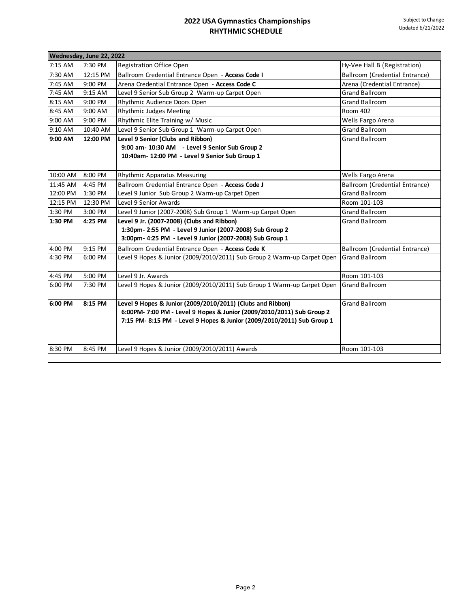| Wednesday, June 22, 2022 |          |                                                                                                                                                                                                               |                                       |  |
|--------------------------|----------|---------------------------------------------------------------------------------------------------------------------------------------------------------------------------------------------------------------|---------------------------------------|--|
| 7:15 AM                  | 7:30 PM  | Registration Office Open                                                                                                                                                                                      | Hy-Vee Hall B (Registration)          |  |
| 7:30 AM                  | 12:15 PM | Ballroom Credential Entrance Open - Access Code I                                                                                                                                                             | <b>Ballroom (Credential Entrance)</b> |  |
| 7:45 AM                  | 9:00 PM  | Arena Credential Entrance Open - Access Code C                                                                                                                                                                | Arena (Credential Entrance)           |  |
| 7:45 AM                  | 9:15 AM  | Level 9 Senior Sub Group 2 Warm-up Carpet Open                                                                                                                                                                | <b>Grand Ballroom</b>                 |  |
| 8:15 AM                  | 9:00 PM  | Rhythmic Audience Doors Open                                                                                                                                                                                  | <b>Grand Ballroom</b>                 |  |
| 8:45 AM                  | 9:00 AM  | Rhythmic Judges Meeting                                                                                                                                                                                       | Room 402                              |  |
| 9:00 AM                  | 9:00 PM  | Rhythmic Elite Training w/ Music                                                                                                                                                                              | Wells Fargo Arena                     |  |
| 9:10 AM                  | 10:40 AM | Level 9 Senior Sub Group 1 Warm-up Carpet Open                                                                                                                                                                | <b>Grand Ballroom</b>                 |  |
| 9:00 AM                  | 12:00 PM | Level 9 Senior (Clubs and Ribbon)<br>9:00 am- 10:30 AM - Level 9 Senior Sub Group 2<br>10:40am- 12:00 PM - Level 9 Senior Sub Group 1                                                                         | <b>Grand Ballroom</b>                 |  |
| 10:00 AM                 | 8:00 PM  | Rhythmic Apparatus Measuring                                                                                                                                                                                  | Wells Fargo Arena                     |  |
| 11:45 AM                 | 4:45 PM  | Ballroom Credential Entrance Open - Access Code J                                                                                                                                                             | Ballroom (Credential Entrance)        |  |
| 12:00 PM                 | 1:30 PM  | Level 9 Junior Sub Group 2 Warm-up Carpet Open                                                                                                                                                                | <b>Grand Ballroom</b>                 |  |
| 12:15 PM                 | 12:30 PM | Level 9 Senior Awards                                                                                                                                                                                         | Room 101-103                          |  |
| 1:30 PM                  | 3:00 PM  | Level 9 Junior (2007-2008) Sub Group 1 Warm-up Carpet Open                                                                                                                                                    | <b>Grand Ballroom</b>                 |  |
| 1:30 PM                  | 4:25 PM  | Level 9 Jr. (2007-2008) (Clubs and Ribbon)<br>1:30pm- 2:55 PM - Level 9 Junior (2007-2008) Sub Group 2<br>3:00pm- 4:25 PM - Level 9 Junior (2007-2008) Sub Group 1                                            | <b>Grand Ballroom</b>                 |  |
| 4:00 PM                  | 9:15 PM  | Ballroom Credential Entrance Open - Access Code K                                                                                                                                                             | Ballroom (Credential Entrance)        |  |
| 4:30 PM                  | 6:00 PM  | Level 9 Hopes & Junior (2009/2010/2011) Sub Group 2 Warm-up Carpet Open                                                                                                                                       | <b>Grand Ballroom</b>                 |  |
| 4:45 PM                  | 5:00 PM  | Level 9 Jr. Awards                                                                                                                                                                                            | Room 101-103                          |  |
| 6:00 PM                  | 7:30 PM  | Level 9 Hopes & Junior (2009/2010/2011) Sub Group 1 Warm-up Carpet Open                                                                                                                                       | <b>Grand Ballroom</b>                 |  |
| 6:00 PM                  | 8:15 PM  | Level 9 Hopes & Junior (2009/2010/2011) (Clubs and Ribbon)<br>6:00PM- 7:00 PM - Level 9 Hopes & Junior (2009/2010/2011) Sub Group 2<br>7:15 PM- 8:15 PM - Level 9 Hopes & Junior (2009/2010/2011) Sub Group 1 | <b>Grand Ballroom</b>                 |  |
| 8:30 PM                  | 8:45 PM  | Level 9 Hopes & Junior (2009/2010/2011) Awards                                                                                                                                                                | Room 101-103                          |  |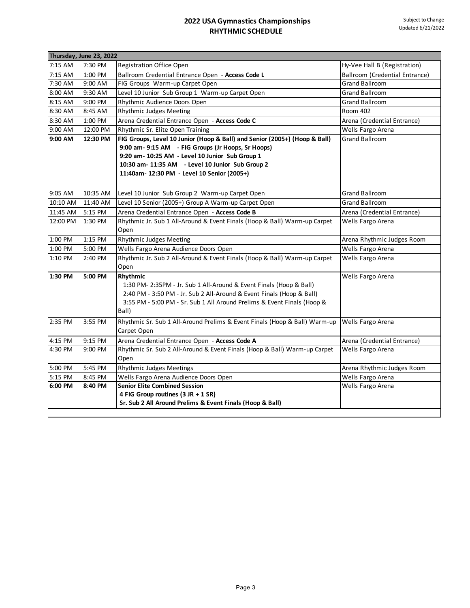| Thursday, June 23, 2022 |          |                                                                                                                                                                                                                                              |                                |
|-------------------------|----------|----------------------------------------------------------------------------------------------------------------------------------------------------------------------------------------------------------------------------------------------|--------------------------------|
| 7:15 AM                 | 7:30 PM  | <b>Registration Office Open</b>                                                                                                                                                                                                              | Hy-Vee Hall B (Registration)   |
| 7:15 AM                 | 1:00 PM  | Ballroom Credential Entrance Open - Access Code L                                                                                                                                                                                            | Ballroom (Credential Entrance) |
| 7:30 AM                 | 9:00 AM  | FIG Groups Warm-up Carpet Open                                                                                                                                                                                                               | <b>Grand Ballroom</b>          |
| 8:00 AM                 | 9:30 AM  | Level 10 Junior Sub Group 1 Warm-up Carpet Open                                                                                                                                                                                              | <b>Grand Ballroom</b>          |
| 8:15 AM                 | 9:00 PM  | Rhythmic Audience Doors Open                                                                                                                                                                                                                 | <b>Grand Ballroom</b>          |
| 8:30 AM                 | 8:45 AM  | Rhythmic Judges Meeting                                                                                                                                                                                                                      | Room 402                       |
| 8:30 AM                 | 1:00 PM  | Arena Credential Entrance Open - Access Code C                                                                                                                                                                                               | Arena (Credential Entrance)    |
| 9:00 AM                 | 12:00 PM | Rhythmic Sr. Elite Open Training                                                                                                                                                                                                             | Wells Fargo Arena              |
| 9:00 AM                 | 12:30 PM | FIG Groups, Level 10 Junior (Hoop & Ball) and Senior (2005+) (Hoop & Ball)                                                                                                                                                                   | <b>Grand Ballroom</b>          |
|                         |          | 9:00 am- 9:15 AM - FIG Groups (Jr Hoops, Sr Hoops)                                                                                                                                                                                           |                                |
|                         |          | 9:20 am- 10:25 AM - Level 10 Junior Sub Group 1                                                                                                                                                                                              |                                |
|                         |          | 10:30 am- 11:35 AM - Level 10 Junior Sub Group 2                                                                                                                                                                                             |                                |
|                         |          | 11:40am- 12:30 PM - Level 10 Senior (2005+)                                                                                                                                                                                                  |                                |
|                         |          |                                                                                                                                                                                                                                              | <b>Grand Ballroom</b>          |
| 9:05 AM<br>10:10 AM     | 10:35 AM | Level 10 Junior Sub Group 2 Warm-up Carpet Open                                                                                                                                                                                              | <b>Grand Ballroom</b>          |
|                         | 11:40 AM | Level 10 Senior (2005+) Group A Warm-up Carpet Open                                                                                                                                                                                          |                                |
| 11:45 AM                | 5:15 PM  | Arena Credential Entrance Open - Access Code B                                                                                                                                                                                               | Arena (Credential Entrance)    |
| 12:00 PM                | 1:30 PM  | Rhythmic Jr. Sub 1 All-Around & Event Finals (Hoop & Ball) Warm-up Carpet<br>Open                                                                                                                                                            | Wells Fargo Arena              |
|                         |          |                                                                                                                                                                                                                                              |                                |
| 1:00 PM                 | 1:15 PM  | Rhythmic Judges Meeting                                                                                                                                                                                                                      | Arena Rhythmic Judges Room     |
| 1:00 PM                 | 5:00 PM  | Wells Fargo Arena Audience Doors Open                                                                                                                                                                                                        | Wells Fargo Arena              |
| 1:10 PM                 | 2:40 PM  | Rhythmic Jr. Sub 2 All-Around & Event Finals (Hoop & Ball) Warm-up Carpet<br>Open                                                                                                                                                            | Wells Fargo Arena              |
| 1:30 PM                 | 5:00 PM  | Rhythmic<br>1:30 PM- 2:35PM - Jr. Sub 1 All-Around & Event Finals (Hoop & Ball)<br>2:40 PM - 3:50 PM - Jr. Sub 2 All-Around & Event Finals (Hoop & Ball)<br>3:55 PM - 5:00 PM - Sr. Sub 1 All Around Prelims & Event Finals (Hoop &<br>Ball) | Wells Fargo Arena              |
| 2:35 PM                 | 3:55 PM  | Rhythmic Sr. Sub 1 All-Around Prelims & Event Finals (Hoop & Ball) Warm-up<br>Carpet Open                                                                                                                                                    | Wells Fargo Arena              |
| 4:15 PM                 | 9:15 PM  | Arena Credential Entrance Open - Access Code A                                                                                                                                                                                               | Arena (Credential Entrance)    |
| 4:30 PM                 | 9:00 PM  | Rhythmic Sr. Sub 2 All-Around & Event Finals (Hoop & Ball) Warm-up Carpet<br>Open                                                                                                                                                            | Wells Fargo Arena              |
| 5:00 PM                 | 5:45 PM  | Rhythmic Judges Meetings                                                                                                                                                                                                                     | Arena Rhythmic Judges Room     |
| 5:15 PM                 | 8:45 PM  | Wells Fargo Arena Audience Doors Open                                                                                                                                                                                                        | Wells Fargo Arena              |
| 6:00 PM                 | 8:40 PM  | <b>Senior Elite Combined Session</b>                                                                                                                                                                                                         | Wells Fargo Arena              |
|                         |          | 4 FIG Group routines (3 JR + 1 SR)                                                                                                                                                                                                           |                                |
|                         |          | Sr. Sub 2 All Around Prelims & Event Finals (Hoop & Ball)                                                                                                                                                                                    |                                |
|                         |          |                                                                                                                                                                                                                                              |                                |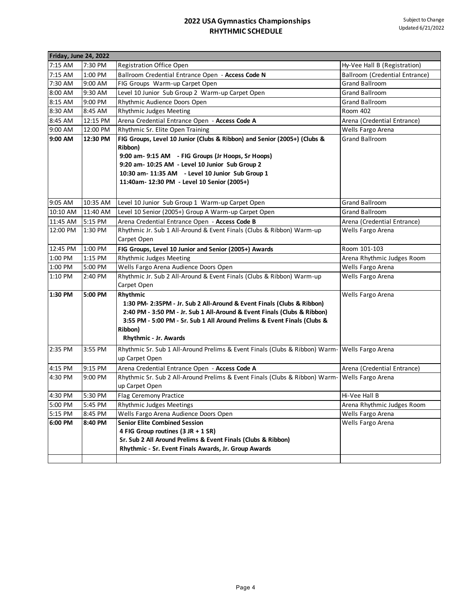| Friday, June 24, 2022 |          |                                                                                               |                                |
|-----------------------|----------|-----------------------------------------------------------------------------------------------|--------------------------------|
| 7:15 AM               | 7:30 PM  | <b>Registration Office Open</b>                                                               | Hy-Vee Hall B (Registration)   |
| 7:15 AM               | 1:00 PM  | Ballroom Credential Entrance Open - Access Code N                                             | Ballroom (Credential Entrance) |
| 7:30 AM               | 9:00 AM  | FIG Groups Warm-up Carpet Open                                                                | <b>Grand Ballroom</b>          |
| 8:00 AM               | 9:30 AM  | Level 10 Junior Sub Group 2 Warm-up Carpet Open                                               | <b>Grand Ballroom</b>          |
| 8:15 AM               | 9:00 PM  | Rhythmic Audience Doors Open                                                                  | <b>Grand Ballroom</b>          |
| 8:30 AM               | 8:45 AM  | Rhythmic Judges Meeting                                                                       | Room 402                       |
| 8:45 AM               | 12:15 PM | Arena Credential Entrance Open - Access Code A                                                | Arena (Credential Entrance)    |
| 9:00 AM               | 12:00 PM | Rhythmic Sr. Elite Open Training                                                              | Wells Fargo Arena              |
| 9:00 AM               | 12:30 PM | FIG Groups, Level 10 Junior (Clubs & Ribbon) and Senior (2005+) (Clubs &                      | <b>Grand Ballroom</b>          |
|                       |          | Ribbon)                                                                                       |                                |
|                       |          | 9:00 am- 9:15 AM - FIG Groups (Jr Hoops, Sr Hoops)                                            |                                |
|                       |          | 9:20 am- 10:25 AM - Level 10 Junior Sub Group 2                                               |                                |
|                       |          | 10:30 am- 11:35 AM - Level 10 Junior Sub Group 1                                              |                                |
|                       |          | 11:40am- 12:30 PM - Level 10 Senior (2005+)                                                   |                                |
|                       |          |                                                                                               |                                |
| 9:05 AM               | 10:35 AM | Level 10 Junior Sub Group 1 Warm-up Carpet Open                                               | <b>Grand Ballroom</b>          |
| 10:10 AM              | 11:40 AM | Level 10 Senior (2005+) Group A Warm-up Carpet Open                                           | <b>Grand Ballroom</b>          |
| 11:45 AM              | 5:15 PM  | Arena Credential Entrance Open - Access Code B                                                | Arena (Credential Entrance)    |
| 12:00 PM              | 1:30 PM  | Rhythmic Jr. Sub 1 All-Around & Event Finals (Clubs & Ribbon) Warm-up                         | Wells Fargo Arena              |
|                       |          | Carpet Open                                                                                   |                                |
| 12:45 PM              | 1:00 PM  | FIG Groups, Level 10 Junior and Senior (2005+) Awards                                         | Room 101-103                   |
| 1:00 PM               | 1:15 PM  | Rhythmic Judges Meeting                                                                       | Arena Rhythmic Judges Room     |
| 1:00 PM               | 5:00 PM  | Wells Fargo Arena Audience Doors Open                                                         | Wells Fargo Arena              |
| 1:10 PM               | 2:40 PM  | Rhythmic Jr. Sub 2 All-Around & Event Finals (Clubs & Ribbon) Warm-up                         | Wells Fargo Arena              |
|                       |          | Carpet Open                                                                                   |                                |
| 1:30 PM               | 5:00 PM  | Rhythmic                                                                                      | Wells Fargo Arena              |
|                       |          | 1:30 PM- 2:35PM - Jr. Sub 2 All-Around & Event Finals (Clubs & Ribbon)                        |                                |
|                       |          | 2:40 PM - 3:50 PM - Jr. Sub 1 All-Around & Event Finals (Clubs & Ribbon)                      |                                |
|                       |          | 3:55 PM - 5:00 PM - Sr. Sub 1 All Around Prelims & Event Finals (Clubs &                      |                                |
|                       |          | Ribbon)                                                                                       |                                |
|                       |          | Rhythmic - Jr. Awards                                                                         |                                |
| 2:35 PM               | 3:55 PM  | Rhythmic Sr. Sub 1 All-Around Prelims & Event Finals (Clubs & Ribbon) Warm- Wells Fargo Arena |                                |
|                       |          | up Carpet Open                                                                                |                                |
| 4:15 PM               | 9:15 PM  | Arena Credential Entrance Open - Access Code A                                                | Arena (Credential Entrance)    |
| 4:30 PM               | 9:00 PM  | Rhythmic Sr. Sub 2 All-Around Prelims & Event Finals (Clubs & Ribbon) Warm- Wells Fargo Arena |                                |
|                       |          | up Carpet Open                                                                                |                                |
| 4:30 PM               | 5:30 PM  | <b>Flag Ceremony Practice</b>                                                                 | Hi-Vee Hall B                  |
| 5:00 PM               | 5:45 PM  | <b>Rhythmic Judges Meetings</b>                                                               | Arena Rhythmic Judges Room     |
| 5:15 PM               | 8:45 PM  | Wells Fargo Arena Audience Doors Open                                                         | Wells Fargo Arena              |
| 6:00 PM               | 8:40 PM  | <b>Senior Elite Combined Session</b>                                                          | Wells Fargo Arena              |
|                       |          | 4 FIG Group routines (3 JR + 1 SR)                                                            |                                |
|                       |          | Sr. Sub 2 All Around Prelims & Event Finals (Clubs & Ribbon)                                  |                                |
|                       |          | Rhythmic - Sr. Event Finals Awards, Jr. Group Awards                                          |                                |
|                       |          |                                                                                               |                                |